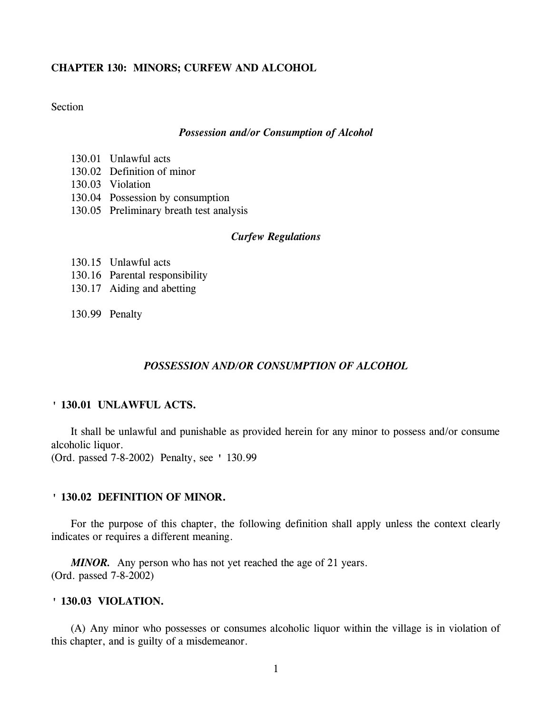# **CHAPTER 130: MINORS; CURFEW AND ALCOHOL**

**Section** 

#### *Possession and/or Consumption of Alcohol*

- 130.01 Unlawful acts
- 130.02 Definition of minor
- 130.03 Violation
- 130.04 Possession by consumption
- 130.05 Preliminary breath test analysis

## *Curfew Regulations*

- 130.15 Unlawful acts
- 130.16 Parental responsibility
- 130.17 Aiding and abetting
- 130.99 Penalty

# *POSSESSION AND/OR CONSUMPTION OF ALCOHOL*

### **' 130.01 UNLAWFUL ACTS.**

It shall be unlawful and punishable as provided herein for any minor to possess and/or consume alcoholic liquor.

(Ord. passed 7-8-2002) Penalty, see ' 130.99

### **' 130.02 DEFINITION OF MINOR.**

For the purpose of this chapter, the following definition shall apply unless the context clearly indicates or requires a different meaning.

*MINOR.* Any person who has not yet reached the age of 21 years. (Ord. passed 7-8-2002)

### **' 130.03 VIOLATION.**

(A) Any minor who possesses or consumes alcoholic liquor within the village is in violation of this chapter, and is guilty of a misdemeanor.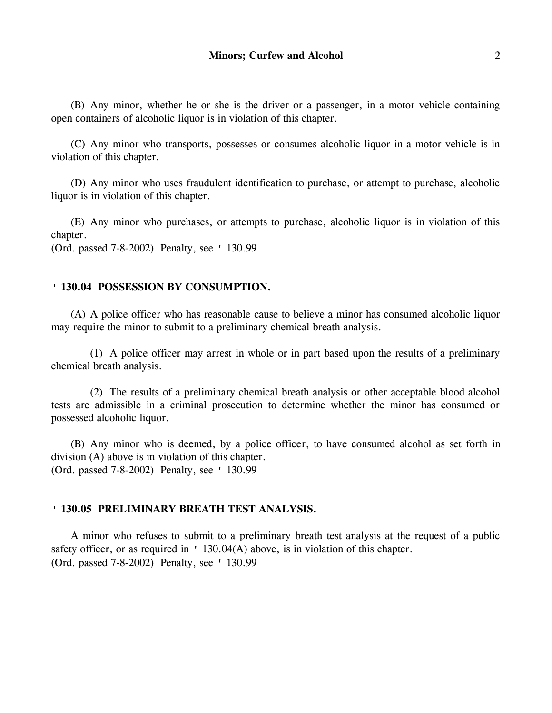(B) Any minor, whether he or she is the driver or a passenger, in a motor vehicle containing open containers of alcoholic liquor is in violation of this chapter.

(C) Any minor who transports, possesses or consumes alcoholic liquor in a motor vehicle is in violation of this chapter.

(D) Any minor who uses fraudulent identification to purchase, or attempt to purchase, alcoholic liquor is in violation of this chapter.

(E) Any minor who purchases, or attempts to purchase, alcoholic liquor is in violation of this chapter.

(Ord. passed 7-8-2002) Penalty, see ' 130.99

## **' 130.04 POSSESSION BY CONSUMPTION.**

(A) A police officer who has reasonable cause to believe a minor has consumed alcoholic liquor may require the minor to submit to a preliminary chemical breath analysis.

(1) A police officer may arrest in whole or in part based upon the results of a preliminary chemical breath analysis.

(2) The results of a preliminary chemical breath analysis or other acceptable blood alcohol tests are admissible in a criminal prosecution to determine whether the minor has consumed or possessed alcoholic liquor.

(B) Any minor who is deemed, by a police officer, to have consumed alcohol as set forth in division (A) above is in violation of this chapter. (Ord. passed 7-8-2002) Penalty, see ' 130.99

### **' 130.05 PRELIMINARY BREATH TEST ANALYSIS.**

A minor who refuses to submit to a preliminary breath test analysis at the request of a public safety officer, or as required in ' 130.04(A) above, is in violation of this chapter. (Ord. passed 7-8-2002) Penalty, see ' 130.99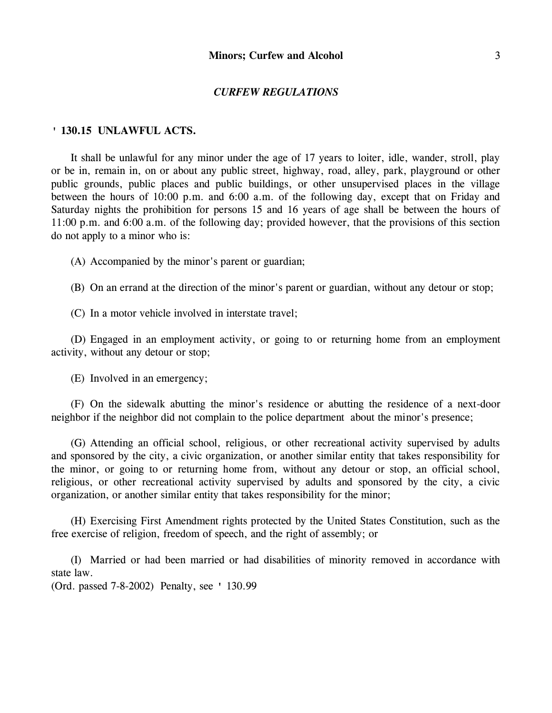#### *CURFEW REGULATIONS*

### **' 130.15 UNLAWFUL ACTS.**

It shall be unlawful for any minor under the age of 17 years to loiter, idle, wander, stroll, play or be in, remain in, on or about any public street, highway, road, alley, park, playground or other public grounds, public places and public buildings, or other unsupervised places in the village between the hours of 10:00 p.m. and 6:00 a.m. of the following day, except that on Friday and Saturday nights the prohibition for persons 15 and 16 years of age shall be between the hours of 11:00 p.m. and 6:00 a.m. of the following day; provided however, that the provisions of this section do not apply to a minor who is:

(A) Accompanied by the minor's parent or guardian;

(B) On an errand at the direction of the minor's parent or guardian, without any detour or stop;

(C) In a motor vehicle involved in interstate travel;

(D) Engaged in an employment activity, or going to or returning home from an employment activity, without any detour or stop;

(E) Involved in an emergency;

(F) On the sidewalk abutting the minor's residence or abutting the residence of a next-door neighbor if the neighbor did not complain to the police department about the minor's presence;

(G) Attending an official school, religious, or other recreational activity supervised by adults and sponsored by the city, a civic organization, or another similar entity that takes responsibility for the minor, or going to or returning home from, without any detour or stop, an official school, religious, or other recreational activity supervised by adults and sponsored by the city, a civic organization, or another similar entity that takes responsibility for the minor;

(H) Exercising First Amendment rights protected by the United States Constitution, such as the free exercise of religion, freedom of speech, and the right of assembly; or

(I) Married or had been married or had disabilities of minority removed in accordance with state law.

(Ord. passed 7-8-2002) Penalty, see ' 130.99